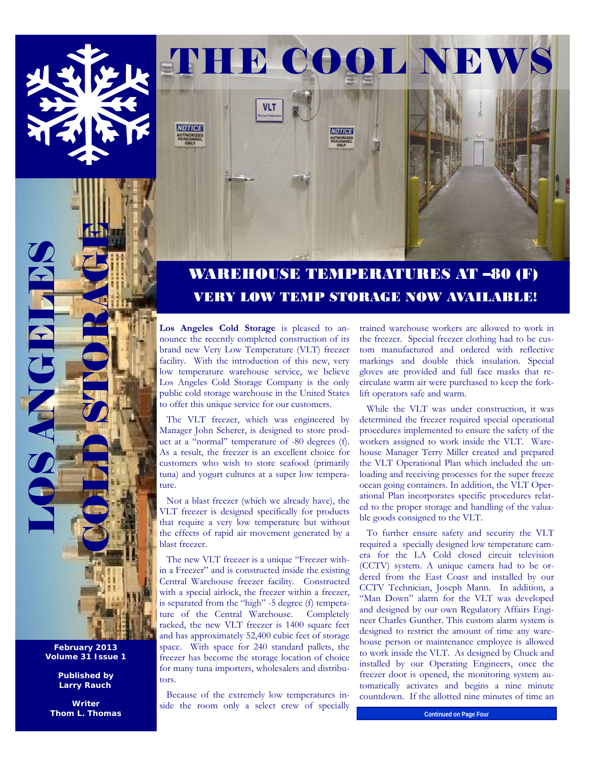

VOTICE



**NOTICE** 

Los Angeles Cold Storage is pleased to announce the recently completed construction of its brand new Very Low Temperature (VLT) freezer facility. With the introduction of this new, very low temperature warehouse service, we believe Los Angeles Cold Storage Company is the only public cold storage warehouse in the United States to offer this unique service for our customers.

 The VLT freezer, which was engineered by Manager John Scherer, is designed to store product at a "normal" temperature of -80 degrees (f). As a result, the freezer is an excellent choice for customers who wish to store seafood (primarily tuna) and yogurt cultures at a super low temperature.

 Not a blast freezer (which we already have), the VLT freezer is designed specifically for products that require a very low temperature but without the effects of rapid air movement generated by a blast freezer.

 The new VLT freezer is a unique "Freezer within a Freezer" and is constructed inside the existing Central Warehouse freezer facility. Constructed with a special airlock, the freezer within a freezer, is separated from the "high" -5 degree (f) temperature of the Central Warehouse. Completely racked, the new VLT freezer is 1400 square feet and has approximately 52,400 cubic feet of storage space. With space for 240 standard pallets, the freezer has become the storage location of choice for many tuna importers, wholesalers and distributors.

 Because of the extremely low temperatures inside the room only a select crew of specially trained warehouse workers are allowed to work in the freezer. Special freezer clothing had to be custom manufactured and ordered with reflective markings and double thick insulation. Special gloves are provided and full face masks that recirculate warm air were purchased to keep the forklift operators safe and warm.

 While the VLT was under construction, it was determined the freezer required special operational procedures implemented to ensure the safety of the workers assigned to work inside the VLT. Warehouse Manager Terry Miller created and prepared the VLT Operational Plan which included the unloading and receiving processes for the super freeze ocean going containers. In addition, the VLT Operational Plan incorporates specific procedures related to the proper storage and handling of the valuable goods consigned to the VLT.

 To further ensure safety and security the VLT required a specially designed low temperature camera for the LA Cold closed circuit television (CCTV) system. A unique camera had to be ordered from the East Coast and installed by our CCTV Technician, Joseph Mann. In addition, a "Man Down" alarm for the VLT was developed and designed by our own Regulatory Affairs Engineer Charles Gunther. This custom alarm system is designed to restrict the amount of time any warehouse person or maintenance employee is allowed to work inside the VLT. As designed by Chuck and installed by our Operating Engineers, once the freezer door is opened, the monitoring system automatically activates and begins a nine minute countdown. If the allotted nine minutes of time an

**Continued on Page Four** 

**February 2013 Volume 31 Issue 1** 

LOS ANGELES

OS ANGELIA

EE COLD STORAGE

**Published by Larry Rauch** 

**Writer Thom L. Thomas**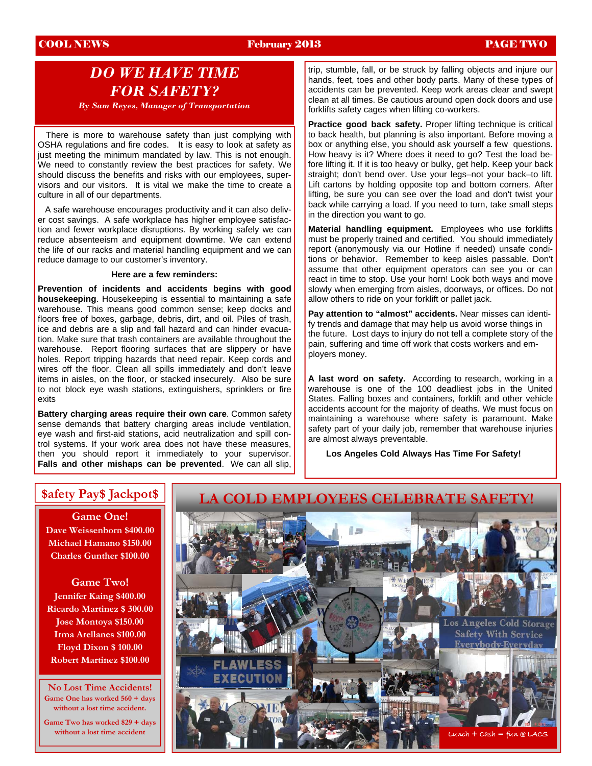## COOL NEWS February 2013 PAGE TWO

# *DO WE HAVE TIME FOR SAFETY?*

*By Sam Reyes, Manager of Transportation*

 There is more to warehouse safety than just complying with OSHA regulations and fire codes. It is easy to look at safety as just meeting the minimum mandated by law. This is not enough. We need to constantly review the best practices for safety. We should discuss the benefits and risks with our employees, supervisors and our visitors. It is vital we make the time to create a culture in all of our departments.

 A safe warehouse encourages productivity and it can also deliver cost savings. A safe workplace has higher employee satisfaction and fewer workplace disruptions. By working safely we can reduce absenteeism and equipment downtime. We can extend the life of our racks and material handling equipment and we can reduce damage to our customer's inventory.

### **Here are a few reminders:**

**Prevention of incidents and accidents begins with good housekeeping**. Housekeeping is essential to maintaining a safe warehouse. This means good common sense; keep docks and floors free of boxes, garbage, debris, dirt, and oil. Piles of trash, ice and debris are a slip and fall hazard and can hinder evacuation. Make sure that trash containers are available throughout the warehouse. Report flooring surfaces that are slippery or have holes. Report tripping hazards that need repair. Keep cords and wires off the floor. Clean all spills immediately and don't leave items in aisles, on the floor, or stacked insecurely. Also be sure to not block eye wash stations, extinguishers, sprinklers or fire exits

**Battery charging areas require their own care**. Common safety sense demands that battery charging areas include ventilation, eye wash and first-aid stations, acid neutralization and spill control systems. If your work area does not have these measures, then you should report it immediately to your supervisor. **Falls and other mishaps can be prevented**. We can all slip,

trip, stumble, fall, or be struck by falling objects and injure our hands, feet, toes and other body parts. Many of these types of accidents can be prevented. Keep work areas clear and swept clean at all times. Be cautious around open dock doors and use forklifts safety cages when lifting co-workers.

**Practice good back safety.** Proper lifting technique is critical to back health, but planning is also important. Before moving a box or anything else, you should ask yourself a few questions. How heavy is it? Where does it need to go? Test the load before lifting it. If it is too heavy or bulky, get help. Keep your back straight; don't bend over. Use your legs–not your back–to lift. Lift cartons by holding opposite top and bottom corners. After lifting, be sure you can see over the load and don't twist your back while carrying a load. If you need to turn, take small steps in the direction you want to go.

**Material handling equipment.** Employees who use forklifts must be properly trained and certified. You should immediately report (anonymously via our Hotline if needed) unsafe conditions or behavior. Remember to keep aisles passable. Don't assume that other equipment operators can see you or can react in time to stop. Use your horn! Look both ways and move slowly when emerging from aisles, doorways, or offices. Do not allow others to ride on your forklift or pallet jack.

**Pay attention to "almost" accidents.** Near misses can identify trends and damage that may help us avoid worse things in the future. Lost days to injury do not tell a complete story of the pain, suffering and time off work that costs workers and employers money.

**A last word on safety.** According to research, working in a warehouse is one of the 100 deadliest jobs in the United States. Falling boxes and containers, forklift and other vehicle accidents account for the majority of deaths. We must focus on maintaining a warehouse where safety is paramount. Make safety part of your daily job, remember that warehouse injuries are almost always preventable.

**Los Angeles Cold Always Has Time For Safety!** 

**Game One! Dave Weissenborn \$400.00 Michael Hamano \$150.00 Charles Gunther \$100.00** 

**Game Two! Jennifer Kaing \$400.00 Ricardo Martinez \$ 300.00 Jose Montoya \$150.00 Irma Arellanes \$100.00 Floyd Dixon \$ 100.00 Robert Martinez \$100.00** 

**No Lost Time Accidents! Game One has worked 560 + days without a lost time accident.** 

**Game Two has worked 829 + days without a lost time accident** 

## **\$afety Pay\$ Jackpot\$ LA COLD EMPLOYEES CELEBRATE SAFETY!**

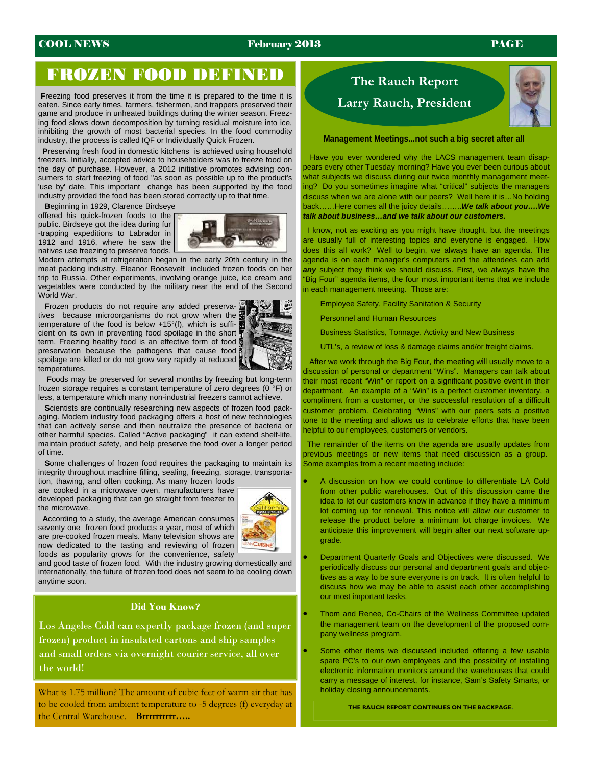## **COOL NEWS** February 2013 **PAGE**

# FROZEN FOOD DEFINED

**F**reezing food preserves it from the time it is prepared to the time it is eaten. Since early times, farmers, fishermen, and trappers preserved their game and produce in unheated buildings during the winter season. Freezing food slows down decomposition by turning residual moisture into ice, inhibiting the growth of most bacterial species. In the food commodity industry, the process is called IQF or Individually Quick Frozen.

 **P**reserving fresh food in domestic kitchens is achieved using household freezers. Initially, accepted advice to householders was to freeze food on the day of purchase. However, a 2012 initiative promotes advising consumers to start freezing of food "as soon as possible up to the product's 'use by' date. This important change has been supported by the food industry provided the food has been stored correctly up to that time.

**B**eginning in 1929, Clarence Birdseye

offered his quick-frozen foods to the public. Birdseye got the idea during fur -trapping expeditions to Labrador in 1912 and 1916, where he saw the natives use freezing to preserve foods.



Modern attempts at refrigeration began in the early 20th century in the meat packing industry. Eleanor Roosevelt included frozen foods on her trip to Russia. Other experiments, involving orange juice, ice cream and vegetables were conducted by the military near the end of the Second World War.

 **F**rozen products do not require any added preservatives because microorganisms do not grow when the temperature of the food is below +15°(f), which is sufficient on its own in preventing food spoilage in the short term. Freezing healthy food is an effective form of food preservation because the pathogens that cause food spoilage are killed or do not grow very rapidly at reduced temperatures.



 **F**oods may be preserved for several months by freezing but long-term frozen storage requires a constant temperature of zero degrees (0 °F) or less, a temperature which many non-industrial freezers cannot achieve.

 **S**cientists are continually researching new aspects of frozen food packaging. Modern industry food packaging offers a host of new technologies that can actively sense and then neutralize the presence of bacteria or other harmful species. Called "Active packaging" it can extend shelf-life, maintain product safety, and help preserve the food over a longer period of time.

 **S**ome challenges of frozen food requires the packaging to maintain its integrity throughout machine filling, sealing, freezing, storage, transporta-

tion, thawing, and often cooking. As many frozen foods are cooked in a microwave oven, manufacturers have developed packaging that can go straight from freezer to the microwave.



 **A**ccording to a study, the average American consumes seventy one frozen food products a year, most of which are pre-cooked frozen meals. Many television shows are now dedicated to the tasting and reviewing of frozen foods as popularity grows for the convenience, safety

and good taste of frozen food. With the industry growing domestically and internationally, the future of frozen food does not seem to be cooling down anytime soon.

## **Did You Know?**

Los Angeles Cold can expertly package frozen (and super frozen) product in insulated cartons and ship samples and small orders via overnight courier service, all over the world!

What is 1.75 million? The amount of cubic feet of warm air that has to be cooled from ambient temperature to -5 degrees (f) everyday at the Central Warehouse. **Brrrrrrrrrr…..** 

# **The Rauch Report Larry Rauch, President**



### **Management Meetings...not such a big secret after all**

 Have you ever wondered why the LACS management team disappears every other Tuesday morning? Have you ever been curious about what subjects we discuss during our twice monthly management meeting? Do you sometimes imagine what "critical" subjects the managers discuss when we are alone with our peers? Well here it is…No holding back……Here comes all the juicy details……..*We talk about you….We talk about business…and we talk about our customers.* 

 I know, not as exciting as you might have thought, but the meetings are usually full of interesting topics and everyone is engaged. How does this all work? Well to begin, we always have an agenda. The agenda is on each manager's computers and the attendees can add *any* subject they think we should discuss. First, we always have the "Big Four" agenda items, the four most important items that we include in each management meeting. Those are:

Employee Safety, Facility Sanitation & Security

Personnel and Human Resources

Business Statistics, Tonnage, Activity and New Business

UTL's, a review of loss & damage claims and/or freight claims.

 After we work through the Big Four, the meeting will usually move to a discussion of personal or department "Wins". Managers can talk about their most recent "Win" or report on a significant positive event in their department. An example of a "Win" is a perfect customer inventory, a compliment from a customer, or the successful resolution of a difficult customer problem. Celebrating "Wins" with our peers sets a positive tone to the meeting and allows us to celebrate efforts that have been helpful to our employees, customers or vendors.

 The remainder of the items on the agenda are usually updates from previous meetings or new items that need discussion as a group. Some examples from a recent meeting include:

- A discussion on how we could continue to differentiate LA Cold from other public warehouses. Out of this discussion came the idea to let our customers know in advance if they have a minimum lot coming up for renewal. This notice will allow our customer to release the product before a minimum lot charge invoices. We anticipate this improvement will begin after our next software upgrade.
- Department Quarterly Goals and Objectives were discussed. We periodically discuss our personal and department goals and objectives as a way to be sure everyone is on track. It is often helpful to discuss how we may be able to assist each other accomplishing our most important tasks.
- Thom and Renee, Co-Chairs of the Wellness Committee updated the management team on the development of the proposed company wellness program.
- Some other items we discussed included offering a few usable spare PC's to our own employees and the possibility of installing electronic information monitors around the warehouses that could carry a message of interest, for instance, Sam's Safety Smarts, or holiday closing announcements.

**THE RAUCH REPORT CONTINUES ON THE BACKPAGE.**